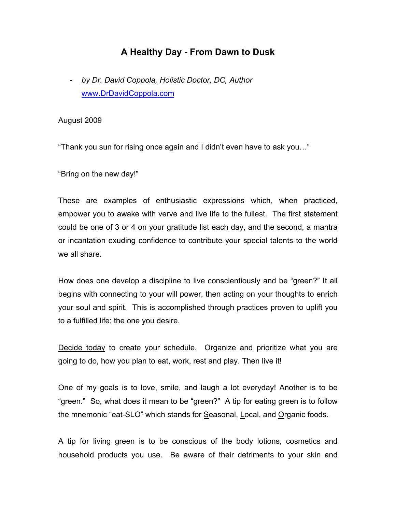## **A Healthy Day - From Dawn to Dusk**

- *by Dr. David Coppola, Holistic Doctor, DC, Author* www.DrDavidCoppola.com

## August 2009

"Thank you sun for rising once again and I didn't even have to ask you…"

"Bring on the new day!"

These are examples of enthusiastic expressions which, when practiced, empower you to awake with verve and live life to the fullest. The first statement could be one of 3 or 4 on your gratitude list each day, and the second, a mantra or incantation exuding confidence to contribute your special talents to the world we all share.

How does one develop a discipline to live conscientiously and be "green?" It all begins with connecting to your will power, then acting on your thoughts to enrich your soul and spirit. This is accomplished through practices proven to uplift you to a fulfilled life; the one you desire.

Decide today to create your schedule. Organize and prioritize what you are going to do, how you plan to eat, work, rest and play. Then live it!

One of my goals is to love, smile, and laugh a lot everyday! Another is to be "green." So, what does it mean to be "green?" A tip for eating green is to follow the mnemonic "eat-SLO" which stands for Seasonal, Local, and Organic foods.

A tip for living green is to be conscious of the body lotions, cosmetics and household products you use. Be aware of their detriments to your skin and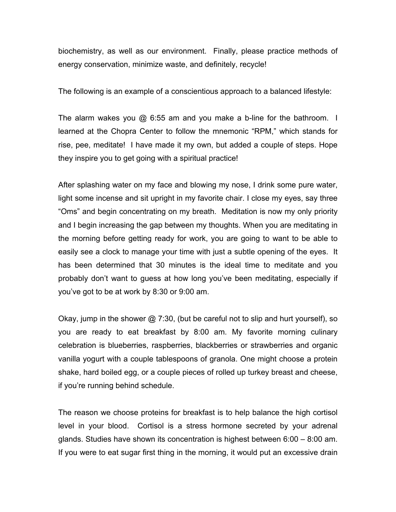biochemistry, as well as our environment. Finally, please practice methods of energy conservation, minimize waste, and definitely, recycle!

The following is an example of a conscientious approach to a balanced lifestyle:

The alarm wakes you  $\omega$  6:55 am and you make a b-line for the bathroom. I learned at the Chopra Center to follow the mnemonic "RPM," which stands for rise, pee, meditate! I have made it my own, but added a couple of steps. Hope they inspire you to get going with a spiritual practice!

After splashing water on my face and blowing my nose, I drink some pure water, light some incense and sit upright in my favorite chair. I close my eyes, say three "Oms" and begin concentrating on my breath. Meditation is now my only priority and I begin increasing the gap between my thoughts. When you are meditating in the morning before getting ready for work, you are going to want to be able to easily see a clock to manage your time with just a subtle opening of the eyes. It has been determined that 30 minutes is the ideal time to meditate and you probably don't want to guess at how long you've been meditating, especially if you've got to be at work by 8:30 or 9:00 am.

Okay, jump in the shower  $\omega$  7:30, (but be careful not to slip and hurt yourself), so you are ready to eat breakfast by 8:00 am. My favorite morning culinary celebration is blueberries, raspberries, blackberries or strawberries and organic vanilla yogurt with a couple tablespoons of granola. One might choose a protein shake, hard boiled egg, or a couple pieces of rolled up turkey breast and cheese, if you're running behind schedule.

The reason we choose proteins for breakfast is to help balance the high cortisol level in your blood. Cortisol is a stress hormone secreted by your adrenal glands. Studies have shown its concentration is highest between 6:00 – 8:00 am. If you were to eat sugar first thing in the morning, it would put an excessive drain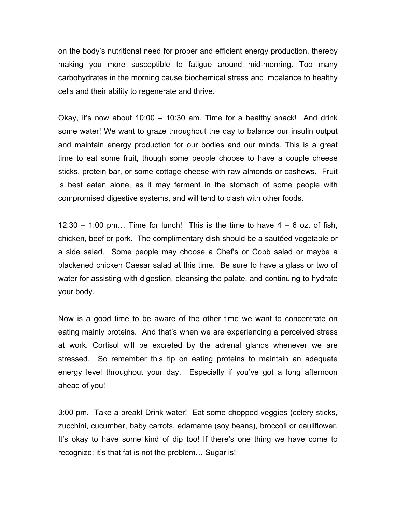on the body's nutritional need for proper and efficient energy production, thereby making you more susceptible to fatigue around mid-morning. Too many carbohydrates in the morning cause biochemical stress and imbalance to healthy cells and their ability to regenerate and thrive.

Okay, it's now about  $10:00 - 10:30$  am. Time for a healthy snack! And drink some water! We want to graze throughout the day to balance our insulin output and maintain energy production for our bodies and our minds. This is a great time to eat some fruit, though some people choose to have a couple cheese sticks, protein bar, or some cottage cheese with raw almonds or cashews. Fruit is best eaten alone, as it may ferment in the stomach of some people with compromised digestive systems, and will tend to clash with other foods.

 $12:30 - 1:00$  pm... Time for lunch! This is the time to have  $4 - 6$  oz. of fish, chicken, beef or pork. The complimentary dish should be a sautéed vegetable or a side salad. Some people may choose a Chef's or Cobb salad or maybe a blackened chicken Caesar salad at this time. Be sure to have a glass or two of water for assisting with digestion, cleansing the palate, and continuing to hydrate your body.

Now is a good time to be aware of the other time we want to concentrate on eating mainly proteins. And that's when we are experiencing a perceived stress at work. Cortisol will be excreted by the adrenal glands whenever we are stressed. So remember this tip on eating proteins to maintain an adequate energy level throughout your day. Especially if you've got a long afternoon ahead of you!

3:00 pm. Take a break! Drink water! Eat some chopped veggies (celery sticks, zucchini, cucumber, baby carrots, edamame (soy beans), broccoli or cauliflower. It's okay to have some kind of dip too! If there's one thing we have come to recognize; it's that fat is not the problem… Sugar is!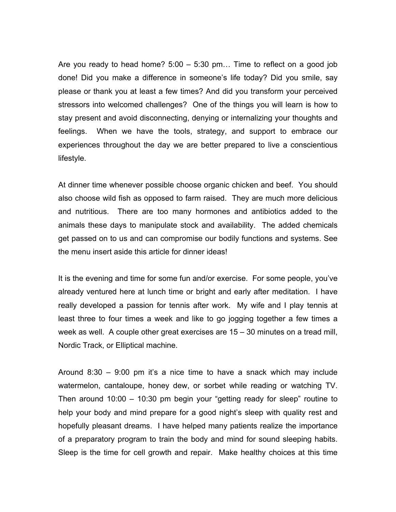Are you ready to head home?  $5:00 - 5:30$  pm... Time to reflect on a good job done! Did you make a difference in someone's life today? Did you smile, say please or thank you at least a few times? And did you transform your perceived stressors into welcomed challenges? One of the things you will learn is how to stay present and avoid disconnecting, denying or internalizing your thoughts and feelings. When we have the tools, strategy, and support to embrace our experiences throughout the day we are better prepared to live a conscientious lifestyle.

At dinner time whenever possible choose organic chicken and beef. You should also choose wild fish as opposed to farm raised. They are much more delicious and nutritious. There are too many hormones and antibiotics added to the animals these days to manipulate stock and availability. The added chemicals get passed on to us and can compromise our bodily functions and systems. See the menu insert aside this article for dinner ideas!

It is the evening and time for some fun and/or exercise. For some people, you've already ventured here at lunch time or bright and early after meditation. I have really developed a passion for tennis after work. My wife and I play tennis at least three to four times a week and like to go jogging together a few times a week as well. A couple other great exercises are 15 – 30 minutes on a tread mill, Nordic Track, or Elliptical machine.

Around 8:30 – 9:00 pm it's a nice time to have a snack which may include watermelon, cantaloupe, honey dew, or sorbet while reading or watching TV. Then around 10:00 – 10:30 pm begin your "getting ready for sleep" routine to help your body and mind prepare for a good night's sleep with quality rest and hopefully pleasant dreams. I have helped many patients realize the importance of a preparatory program to train the body and mind for sound sleeping habits. Sleep is the time for cell growth and repair. Make healthy choices at this time